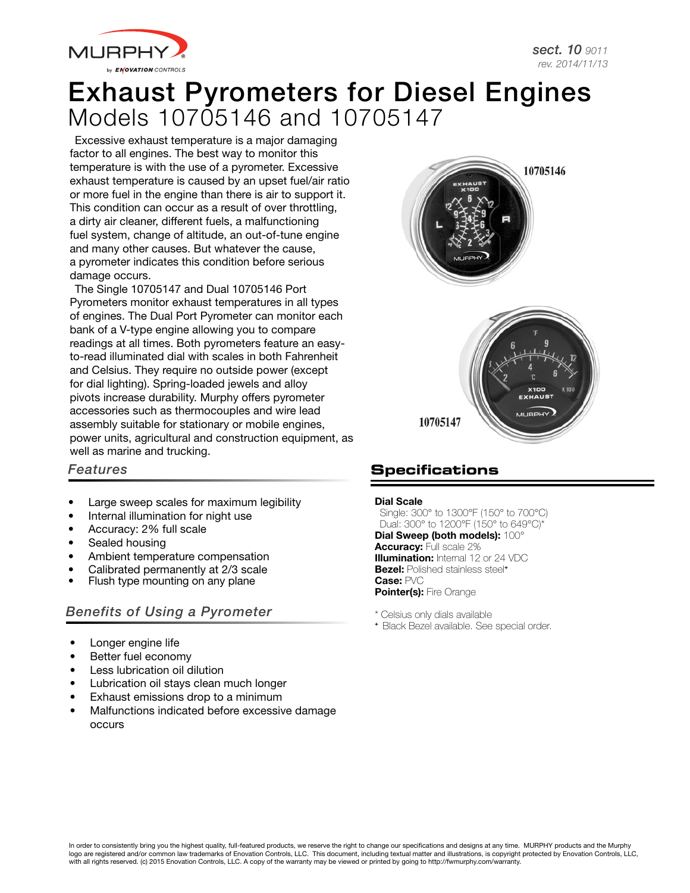

# Exhaust Pyrometers for Diesel Engines Models 10705146 and 10705147

Excessive exhaust temperature is a major damaging factor to all engines. The best way to monitor this temperature is with the use of a pyrometer. Excessive exhaust temperature is caused by an upset fuel/air ratio or more fuel in the engine than there is air to support it. This condition can occur as a result of over throttling, a dirty air cleaner, different fuels, a malfunctioning fuel system, change of altitude, an out-of-tune engine and many other causes. But whatever the cause, a pyrometer indicates this condition before serious damage occurs.

The Single 10705147 and Dual 10705146 Port Pyrometers monitor exhaust temperatures in all types of engines. The Dual Port Pyrometer can monitor each bank of a V-type engine allowing you to compare readings at all times. Both pyrometers feature an easyto-read illuminated dial with scales in both Fahrenheit and Celsius. They require no outside power (except for dial lighting). Spring-loaded jewels and alloy pivots increase durability. Murphy offers pyrometer accessories such as thermocouples and wire lead assembly suitable for stationary or mobile engines, power units, agricultural and construction equipment, as well as marine and trucking.



## *Features*

- Large sweep scales for maximum legibility
- Internal illumination for night use
- Accuracy: 2% full scale
- Sealed housing
- Ambient temperature compensation
- Calibrated permanently at 2/3 scale
- Flush type mounting on any plane

## *Benefits of Using a Pyrometer*

- Longer engine life
- Better fuel economy
- Less lubrication oil dilution
- Lubrication oil stays clean much longer
- Exhaust emissions drop to a minimum
- Malfunctions indicated before excessive damage occurs

# **Specifications**

#### Dial Scale

Single: 300° to 1300°F (150° to 700°C) Dual: 300° to 1200°F (150° to 649°C)\*

Dial Sweep (both models): 100° Accuracy: Full scale 2% **Illumination:** Internal 12 or 24 VDC **Bezel:** Polished stainless steel<sup>+</sup> Case: PVC Pointer(s): Fire Orange

\* Celsius only dials available

<sup>+</sup> Black Bezel available. See special order.